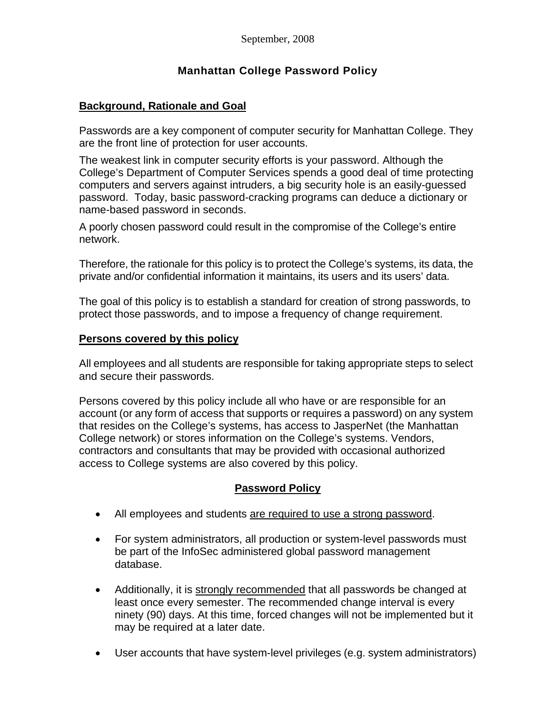# **Manhattan College Password Policy**

## **Background, Rationale and Goal**

Passwords are a key component of computer security for Manhattan College. They are the front line of protection for user accounts.

The weakest link in computer security efforts is your password. Although the College's Department of Computer Services spends a good deal of time protecting computers and servers against intruders, a big security hole is an easily-guessed password. Today, basic password-cracking programs can deduce a dictionary or name-based password in seconds.

A poorly chosen password could result in the compromise of the College's entire network.

Therefore, the rationale for this policy is to protect the College's systems, its data, the private and/or confidential information it maintains, its users and its users' data.

The goal of this policy is to establish a standard for creation of strong passwords, to protect those passwords, and to impose a frequency of change requirement.

### **Persons covered by this policy**

All employees and all students are responsible for taking appropriate steps to select and secure their passwords.

Persons covered by this policy include all who have or are responsible for an account (or any form of access that supports or requires a password) on any system that resides on the College's systems, has access to JasperNet (the Manhattan College network) or stores information on the College's systems. Vendors, contractors and consultants that may be provided with occasional authorized access to College systems are also covered by this policy.

## **Password Policy**

- All employees and students are required to use a strong password.
- For system administrators, all production or system-level passwords must be part of the InfoSec administered global password management database.
- Additionally, it is strongly recommended that all passwords be changed at least once every semester. The recommended change interval is every ninety (90) days. At this time, forced changes will not be implemented but it may be required at a later date.
- User accounts that have system-level privileges (e.g. system administrators)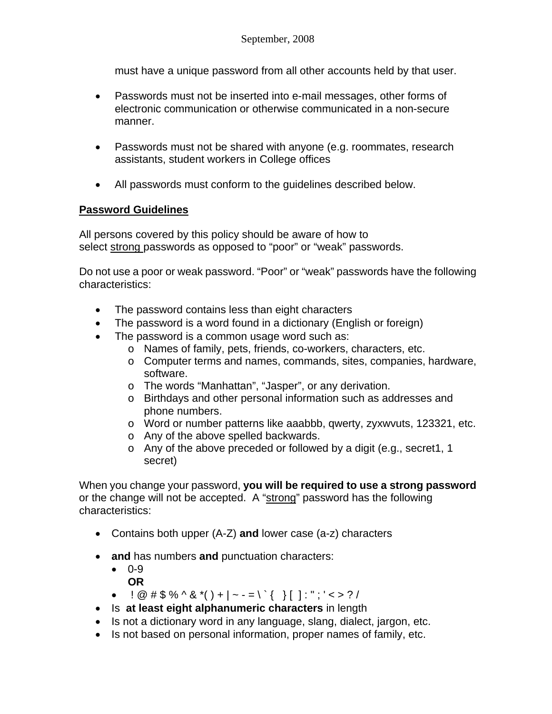must have a unique password from all other accounts held by that user.

- Passwords must not be inserted into e-mail messages, other forms of electronic communication or otherwise communicated in a non-secure manner.
- Passwords must not be shared with anyone (e.g. roommates, research assistants, student workers in College offices
- All passwords must conform to the guidelines described below.

### **Password Guidelines**

All persons covered by this policy should be aware of how to select strong passwords as opposed to "poor" or "weak" passwords.

Do not use a poor or weak password. "Poor" or "weak" passwords have the following characteristics:

- The password contains less than eight characters
- The password is a word found in a dictionary (English or foreign)
- The password is a common usage word such as:
	- o Names of family, pets, friends, co-workers, characters, etc.
	- o Computer terms and names, commands, sites, companies, hardware, software.
	- o The words "Manhattan", "Jasper", or any derivation.
	- o Birthdays and other personal information such as addresses and phone numbers.
	- o Word or number patterns like aaabbb, qwerty, zyxwvuts, 123321, etc.
	- o Any of the above spelled backwards.
	- o Any of the above preceded or followed by a digit (e.g., secret1, 1 secret)

When you change your password, **you will be required to use a strong password** or the change will not be accepted. A "strong" password has the following characteristics:

- Contains both upper (A-Z) **and** lower case (a-z) characters
- **and** has numbers **and** punctuation characters:
	- 0-9 **OR**
	- $\vdash \emptyset$  # \$ % ^ & \*() + | ~ = \ ` { } [] : "; ' < > ? /
- Is **at least eight alphanumeric characters** in length
- Is not a dictionary word in any language, slang, dialect, jargon, etc.
- Is not based on personal information, proper names of family, etc.